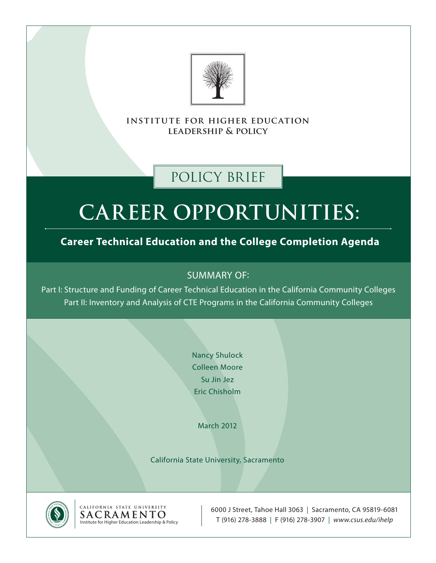

**institute for higher education leadership & policy**

## policy brief

# **Career Opportunities:**

### **Career Technical Education and the College Completion Agenda**

### SUMMARY OF:

Part I: Structure and Funding of Career Technical Education in the California Community Colleges Part II: Inventory and Analysis of CTE Programs in the California Community Colleges

> Nancy Shulock Colleen Moore Su Jin Jez Eric Chisholm

> > March 2012

California State University, Sacramento



CALIFORNIA STATE UNIVERSITY SACRAMENTO Institute for Higher Education Leadership & Policy

6000 J Street, Tahoe Hall 3063 | Sacramento, CA 95819-6081 T (916) 278-3888 | F (916) 278-3907 | *www.csus.edu/ihelp*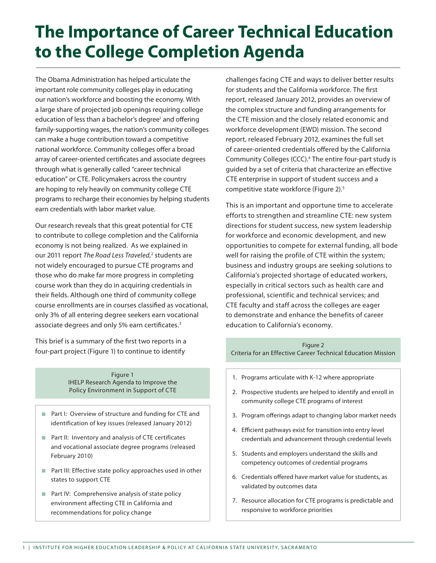## **The Importance of Career Technical Education to the College Completion Agenda**

The Obama Administration has helped articulate the important role community colleges play in educating our nation's workforce and boosting the economy. With a large share of projected job openings requiring college education of less than a bachelor's degree<sup>1</sup> and offering family-supporting wages, the nation's community colleges can make a huge contribution toward a competitive national workforce. Community colleges offer a broad array of career-oriented certificates and associate degrees through what is generally called "career technical education" or CTE. Policymakers across the country are hoping to rely heavily on community college CTE programs to recharge their economies by helping students earn credentials with labor market value.

Our research reveals that this great potential for CTE to contribute to college completion and the California economy is not being realized. As we explained in our 2011 report The Road Less Traveled,<sup>2</sup> students are not widely encouraged to pursue CTE programs and those who do make far more progress in completing course work than they do in acquiring credentials in their fields. Although one third of community college course enrollments are in courses classified as vocational, only 3% of all entering degree seekers earn vocational associate degrees and only 5% earn certificates.<sup>3</sup>

This brief is a summary of the first two reports in a four-part project (Figure 1) to continue to identify

> Figure 1 IHELP Research Agenda to Improve the Policy Environment in Support of CTE

- Part I: Overview of structure and funding for CTE and identification of key issues (released January 2012)
- Part II: Inventory and analysis of CTE certificates and vocational associate degree programs (released February 2010)
- $\blacksquare$  Part III: Effective state policy approaches used in other states to support CTE
- Part IV: Comprehensive analysis of state policy environment affecting CTE in California and recommendations for policy change

challenges facing CTE and ways to deliver better results for students and the California workforce. The first report, released January 2012, provides an overview of the complex structure and funding arrangements for the CTE mission and the closely related economic and workforce development (EWD) mission. The second report, released February 2012, examines the full set of career-oriented credentials offered by the California Community Colleges (CCC).4 The entire four-part study is guided by a set of criteria that characterize an effective CTE enterprise in support of student success and a competitive state workforce (Figure 2).5

This is an important and opportune time to accelerate efforts to strengthen and streamline CTE: new system directions for student success, new system leadership for workforce and economic development, and new opportunities to compete for external funding, all bode well for raising the profile of CTE within the system; business and industry groups are seeking solutions to California's projected shortage of educated workers, especially in critical sectors such as health care and professional, scientific and technical services; and CTE faculty and staff across the colleges are eager to demonstrate and enhance the benefits of career education to California's economy.

Figure 2 Criteria for an Effective Career Technical Education Mission

- 1. Programs articulate with K-12 where appropriate
- 2. Prospective students are helped to identify and enroll in community college CTE programs of interest
- 3. Program offerings adapt to changing labor market needs
- 4. Efficient pathways exist for transition into entry level credentials and advancement through credential levels
- 5. Students and employers understand the skills and competency outcomes of credential programs
- 6. Credentials offered have market value for students, as validated by outcomes data
- 7. Resource allocation for CTE programs is predictable and responsive to workforce priorities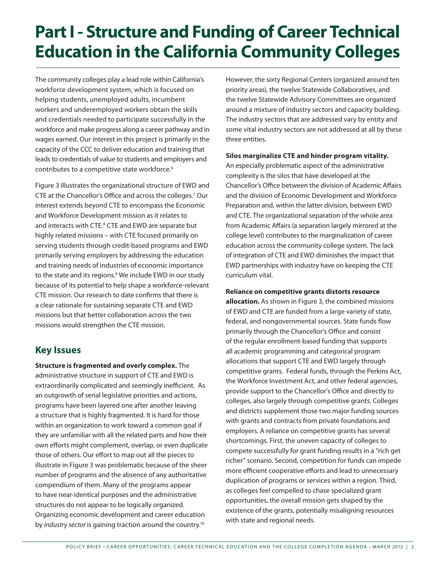## **Part I - Structure and Funding of Career Technical Education in the California Community Colleges**

The community colleges play a lead role within California's workforce development system, which is focused on helping students, unemployed adults, incumbent workers and underemployed workers obtain the skills and credentials needed to participate successfully in the workforce and make progress along a career pathway and in wages earned. Our interest in this project is primarily in the capacity of the CCC to deliver education and training that leads to credentials of value to students and employers and contributes to a competitive state workforce.<sup>6</sup>

Figure 3 illustrates the organizational structure of EWD and CTE at the Chancellor's Office and across the colleges.7 Our interest extends beyond CTE to encompass the Economic and Workforce Development mission as it relates to and interacts with CTE.<sup>8</sup> CTE and EWD are separate but highly related missions – with CTE focused primarily on serving students through credit-based programs and EWD primarily serving employers by addressing the education and training needs of industries of economic importance to the state and its regions.<sup>9</sup> We include EWD in our study because of its potential to help shape a workforce-relevant CTE mission. Our research to date confirms that there is a clear rationale for sustaining separate CTE and EWD missions but that better collaboration across the two missions would strengthen the CTE mission.

### **Key Issues**

**Structure is fragmented and overly complex.** The administrative structure in support of CTE and EWD is extraordinarily complicated and seemingly inefficient. As an outgrowth of serial legislative priorities and actions, programs have been layered one after another leaving a structure that is highly fragmented. It is hard for those within an organization to work toward a common goal if they are unfamiliar with all the related parts and how their own efforts might complement, overlap, or even duplicate those of others. Our effort to map out all the pieces to illustrate in Figure 3 was problematic because of the sheer number of programs and the absence of any authoritative compendium of them. Many of the programs appear to have near-identical purposes and the administrative structures do not appear to be logically organized. Organizing economic development and career education by *industry sector* is gaining traction around the country.<sup>10</sup>

However, the sixty Regional Centers (organized around ten priority areas), the twelve Statewide Collaboratives, and the twelve Statewide Advisory Committees are organized around a mixture of industry sectors and capacity building. The industry sectors that are addressed vary by entity and some vital industry sectors are not addressed at all by these three entities.

#### **Silos marginalize CTE and hinder program vitality.**

An especially problematic aspect of the administrative complexity is the silos that have developed at the Chancellor's Office between the division of Academic Affairs and the division of Economic Development and Workforce Preparation and, within the latter division, between EWD and CTE. The organizational separation of the whole area from Academic Affairs (a separation largely mirrored at the college level) contributes to the marginalization of career education across the community college system. The lack of integration of CTE and EWD diminishes the impact that EWD partnerships with industry have on keeping the CTE curriculum vital.

#### **Reliance on competitive grants distorts resource**

**allocation.** As shown in Figure 3, the combined missions of EWD and CTE are funded from a large variety of state, federal, and nongovernmental sources. State funds flow primarily through the Chancellor's Office and consist of the regular enrollment-based funding that supports all academic programming and categorical program allocations that support CTE and EWD largely through competitive grants. Federal funds, through the Perkins Act, the Workforce Investment Act, and other federal agencies, provide support to the Chancellor's Office and directly to colleges, also largely through competitive grants. Colleges and districts supplement those two major funding sources with grants and contracts from private foundations and employers. A reliance on competitive grants has several shortcomings. First, the uneven capacity of colleges to compete successfully for grant funding results in a "rich get richer" scenario. Second, competition for funds can impede more efficient cooperative efforts and lead to unnecessary duplication of programs or services within a region. Third, as colleges feel compelled to chase specialized grant opportunities, the overall mission gets shaped by the existence of the grants, potentially misaligning resources with state and regional needs.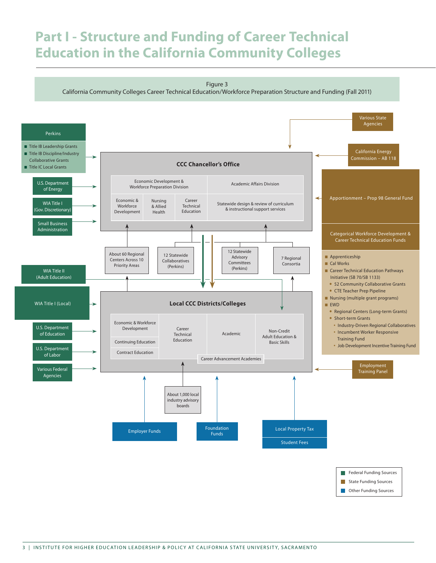## **Part I - Structure and Funding of Career Technical Education in the California Community Colleges**



**Construments** Conserves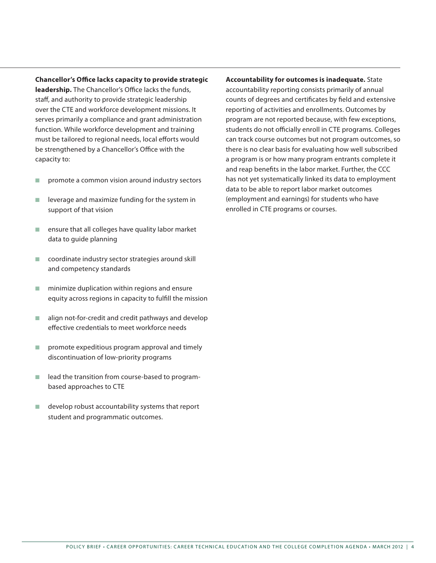**Chancellor's Office lacks capacity to provide strategic leadership.** The Chancellor's Office lacks the funds, staff, and authority to provide strategic leadership over the CTE and workforce development missions. It serves primarily a compliance and grant administration function. While workforce development and training must be tailored to regional needs, local efforts would be strengthened by a Chancellor's Office with the capacity to:

- n promote a common vision around industry sectors
- $\blacksquare$  leverage and maximize funding for the system in support of that vision
- $\blacksquare$  ensure that all colleges have quality labor market data to guide planning
- $\Box$  coordinate industry sector strategies around skill and competency standards
- $\blacksquare$  minimize duplication within regions and ensure equity across regions in capacity to fulfill the mission
- $\blacksquare$  align not-for-credit and credit pathways and develop effective credentials to meet workforce needs
- n promote expeditious program approval and timely discontinuation of low-priority programs
- $\blacksquare$  lead the transition from course-based to programbased approaches to CTE
- $\blacksquare$  develop robust accountability systems that report student and programmatic outcomes.

**Accountability for outcomes is inadequate.** State accountability reporting consists primarily of annual counts of degrees and certificates by field and extensive reporting of activities and enrollments. Outcomes by program are not reported because, with few exceptions, students do not officially enroll in CTE programs. Colleges can track course outcomes but not program outcomes, so there is no clear basis for evaluating how well subscribed a program is or how many program entrants complete it and reap benefits in the labor market. Further, the CCC has not yet systematically linked its data to employment data to be able to report labor market outcomes (employment and earnings) for students who have enrolled in CTE programs or courses.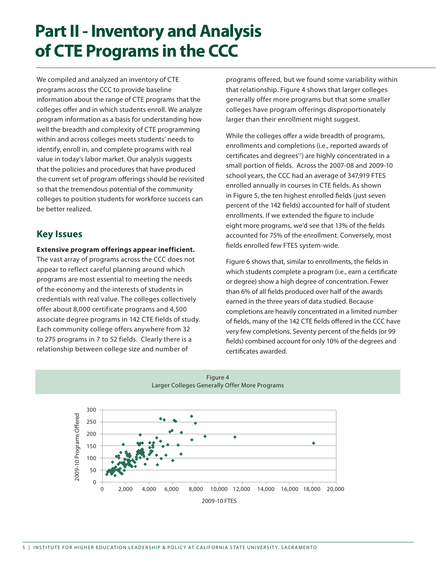## **Part II - Inventory and Analysis of CTE Programs in the CCC**

We compiled and analyzed an inventory of CTE programs across the CCC to provide baseline information about the range of CTE programs that the colleges offer and in which students enroll. We analyze program information as a basis for understanding how well the breadth and complexity of CTE programming within and across colleges meets students' needs to identify, enroll in, and complete programs with real value in today's labor market. Our analysis suggests that the policies and procedures that have produced the current set of program offerings should be revisited so that the tremendous potential of the community colleges to position students for workforce success can be better realized.

### **Key Issues**

#### **Extensive program offerings appear inefficient.**

The vast array of programs across the CCC does not appear to reflect careful planning around which programs are most essential to meeting the needs of the economy and the interests of students in credentials with real value. The colleges collectively offer about 8,000 certificate programs and 4,500 associate degree programs in 142 CTE fields of study. Each community college offers anywhere from 32 to 275 programs in 7 to 52 fields. Clearly there is a relationship between college size and number of

programs offered, but we found some variability within that relationship. Figure 4 shows that larger colleges generally offer more programs but that some smaller colleges have program offerings disproportionately larger than their enrollment might suggest.

While the colleges offer a wide breadth of programs, enrollments and completions (i.e., reported awards of certificates and degrees<sup>11</sup>) are highly concentrated in a small portion of fields. Across the 2007-08 and 2009-10 school years, the CCC had an average of 347,919 FTES enrolled annually in courses in CTE fields. As shown in Figure 5, the ten highest enrolled fields (just seven percent of the 142 fields) accounted for half of student enrollments. If we extended the figure to include eight more programs, we'd see that 13% of the fields accounted for 75% of the enrollment. Conversely, most fields enrolled few FTES system-wide.

Figure 6 shows that, similar to enrollments, the fields in which students complete a program (i.e., earn a certificate or degree) show a high degree of concentration. Fewer than 6% of all fields produced over half of the awards earned in the three years of data studied. Because completions are heavily concentrated in a limited number of fields, many of the 142 CTE fields offered in the CCC have very few completions. Seventy percent of the fields (or 99 fields) combined account for only 10% of the degrees and certificates awarded.

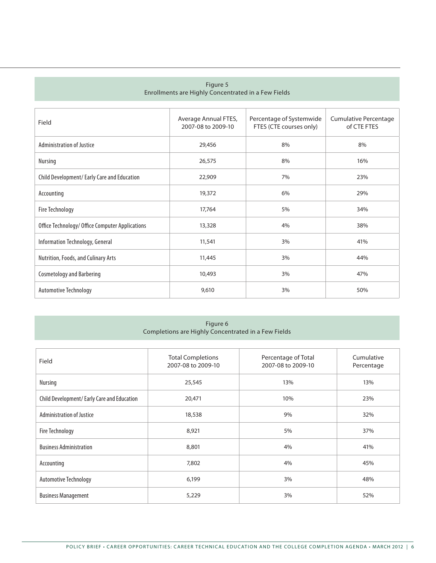#### Figure 5 Enrollments are Highly Concentrated in a Few Fields

| Field                                           | Average Annual FTES,<br>2007-08 to 2009-10 | Percentage of Systemwide<br>FTES (CTE courses only) | Cumulative Percentage<br>of CTE FTES |
|-------------------------------------------------|--------------------------------------------|-----------------------------------------------------|--------------------------------------|
| <b>Administration of Justice</b>                | 29,456                                     | 8%                                                  | 8%                                   |
| Nursing                                         | 26,575                                     | 8%                                                  | 16%                                  |
| Child Development/Early Care and Education      | 22,909                                     | 7%                                                  | 23%                                  |
| Accounting                                      | 19,372                                     | 6%                                                  | 29%                                  |
| Fire Technology                                 | 17,764                                     | 5%                                                  | 34%                                  |
| Office Technology/ Office Computer Applications | 13,328                                     | 4%                                                  | 38%                                  |
| Information Technology, General                 | 11,541                                     | 3%                                                  | 41%                                  |
| Nutrition, Foods, and Culinary Arts             | 11,445                                     | 3%                                                  | 44%                                  |
| <b>Cosmetology and Barbering</b>                | 10,493                                     | 3%                                                  | 47%                                  |
| Automotive Technology                           | 9,610                                      | 3%                                                  | 50%                                  |

#### Figure 6 Completions are Highly Concentrated in a Few Fields

| Field                                       | <b>Total Completions</b><br>2007-08 to 2009-10 | Percentage of Total<br>2007-08 to 2009-10 | Cumulative<br>Percentage |
|---------------------------------------------|------------------------------------------------|-------------------------------------------|--------------------------|
| Nursing                                     | 25,545                                         | 13%                                       | 13%                      |
| Child Development/ Early Care and Education | 20,471                                         | 10%                                       | 23%                      |
| <b>Administration of Justice</b>            | 18,538                                         | 9%                                        | 32%                      |
| Fire Technology                             | 8,921                                          | 5%                                        | 37%                      |
| <b>Business Administration</b>              | 8,801                                          | 4%                                        | 41%                      |
| Accounting                                  | 7,802                                          | 4%                                        | 45%                      |
| Automotive Technology                       | 6,199                                          | 3%                                        | 48%                      |
| <b>Business Management</b>                  | 5,229                                          | 3%                                        | 52%                      |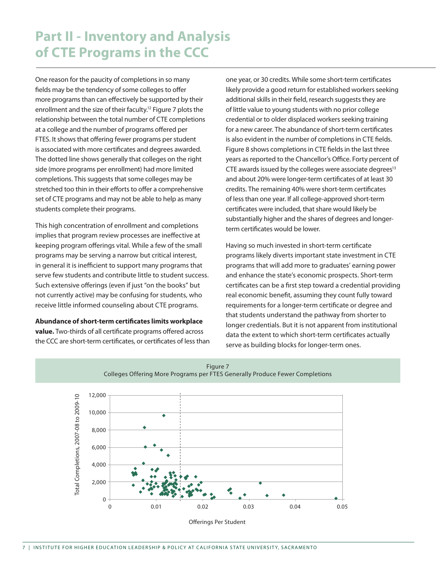## **Part II - Inventory and Analysis of CTE Programs in the CCC**

One reason for the paucity of completions in so many fields may be the tendency of some colleges to offer more programs than can effectively be supported by their enrollment and the size of their faculty.<sup>12</sup> Figure 7 plots the relationship between the total number of CTE completions at a college and the number of programs offered per FTES. It shows that offering fewer programs per student is associated with more certificates and degrees awarded. The dotted line shows generally that colleges on the right side (more programs per enrollment) had more limited completions. This suggests that some colleges may be stretched too thin in their efforts to offer a comprehensive set of CTE programs and may not be able to help as many students complete their programs.

This high concentration of enrollment and completions implies that program review processes are ineffective at keeping program offerings vital. While a few of the small programs may be serving a narrow but critical interest, in general it is inefficient to support many programs that serve few students and contribute little to student success. Such extensive offerings (even if just "on the books" but not currently active) may be confusing for students, who receive little informed counseling about CTE programs.

**Abundance of short-term certificates limits workplace value.** Two-thirds of all certificate programs offered across the CCC are short-term certificates, or certificates of less than

one year, or 30 credits. While some short-term certificates likely provide a good return for established workers seeking additional skills in their field, research suggests they are of little value to young students with no prior college credential or to older displaced workers seeking training for a new career. The abundance of short-term certificates is also evident in the number of completions in CTE fields. Figure 8 shows completions in CTE fields in the last three years as reported to the Chancellor's Office. Forty percent of CTE awards issued by the colleges were associate degrees $13$ and about 20% were longer-term certificates of at least 30 credits. The remaining 40% were short-term certificates of less than one year. If all college-approved short-term certificates were included, that share would likely be substantially higher and the shares of degrees and longerterm certificates would be lower.

Having so much invested in short-term certificate programs likely diverts important state investment in CTE programs that will add more to graduates' earning power and enhance the state's economic prospects. Short-term certificates can be a first step toward a credential providing real economic benefit, assuming they count fully toward requirements for a longer-term certificate or degree and that students understand the pathway from shorter to longer credentials. But it is not apparent from institutional data the extent to which short-term certificates actually serve as building blocks for longer-term ones.





Offerings Per Student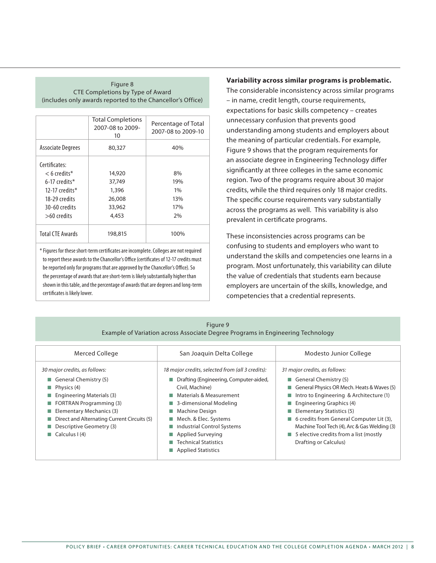#### Figure 8 CTE Completions by Type of Award (includes only awards reported to the Chancellor's Office)

|                          | <b>Total Completions</b><br>2007-08 to 2009-<br>10 | Percentage of Total<br>2007-08 to 2009-10 |
|--------------------------|----------------------------------------------------|-------------------------------------------|
| <b>Associate Degrees</b> | 80,327                                             | 40%                                       |
| Certificates:            |                                                    |                                           |
| $<$ 6 credits*           | 14,920                                             | 8%                                        |
| $6-17$ credits*          | 37,749                                             | 19%                                       |
| 12-17 credits $*$        | 1,396                                              | $1\%$                                     |
| 18-29 credits            | 26,008                                             | 13%                                       |
| 30-60 credits            | 33,962                                             | 17%                                       |
| $>60$ credits            | 4,453                                              | 2%                                        |
| <b>Total CTF Awards</b>  | 198,815                                            | 100%                                      |

\* Figures for these short-term certificates are incomplete. Colleges are not required to report these awards to the Chancellor's Office (certificates of 12-17 credits must be reported only for programs that are approved by the Chancellor's Office). So the percentage of awards that are short-term is likely substantially higher than shown in this table, and the percentage of awards that are degrees and long-term certificates is likely lower.

#### **Variability across similar programs is problematic.**

The considerable inconsistency across similar programs – in name, credit length, course requirements, expectations for basic skills competency – creates unnecessary confusion that prevents good understanding among students and employers about the meaning of particular credentials. For example, Figure 9 shows that the program requirements for an associate degree in Engineering Technology differ significantly at three colleges in the same economic region. Two of the programs require about 30 major credits, while the third requires only 18 major credits. The specific course requirements vary substantially across the programs as well. This variability is also prevalent in certificate programs.

These inconsistencies across programs can be confusing to students and employers who want to understand the skills and competencies one learns in a program. Most unfortunately, this variability can dilute the value of credentials that students earn because employers are uncertain of the skills, knowledge, and competencies that a credential represents.

| Figure 9                                                                        |
|---------------------------------------------------------------------------------|
| Example of Variation across Associate Degree Programs in Engineering Technology |

| Merced College                              | San Joaquin Delta College                        | Modesto Junior College                                |
|---------------------------------------------|--------------------------------------------------|-------------------------------------------------------|
| 30 major credits, as follows:               | 18 major credits, selected from (all 3 credits): | 31 major credits, as follows:                         |
| General Chemistry $(5)$                     | Drafting (Engineering, Computer-aided,<br>П      | General Chemistry $(5)$                               |
| $\blacksquare$ Physics (4)                  | Civil, Machine)                                  | General Physics OR Mech. Heats & Waves (5)            |
| $\blacksquare$ Engineering Materials (3)    | Materials & Measurement                          | Intro to Engineering & Architecture (1)               |
| $\blacksquare$ FORTRAN Programming (3)      | 3-dimensional Modeling                           | <b>Engineering Graphics (4)</b>                       |
| Elementary Mechanics (3)                    | Machine Design                                   | Elementary Statistics $(5)$                           |
| Direct and Alternating Current Circuits (5) | Mech. & Elec. Systems                            | ■ 6 credits from General Computer Lit (3),            |
| Descriptive Geometry (3)                    | Industrial Control Systems                       | Machine Tool Tech (4), Arc & Gas Welding (3)          |
| $\Box$ Calculus I (4)                       | Applied Surveying                                | $\blacksquare$ 5 elective credits from a list (mostly |
|                                             | <b>Technical Statistics</b>                      | Drafting or Calculus)                                 |
|                                             | Applied Statistics                               |                                                       |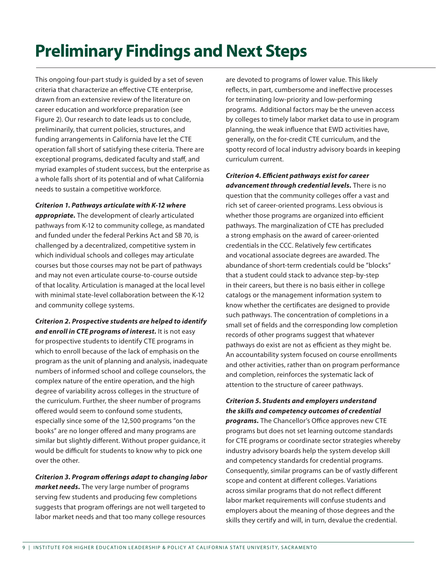## **Preliminary Findings and Next Steps**

This ongoing four-part study is guided by a set of seven criteria that characterize an effective CTE enterprise, drawn from an extensive review of the literature on career education and workforce preparation (see Figure 2). Our research to date leads us to conclude, preliminarily, that current policies, structures, and funding arrangements in California have let the CTE operation fall short of satisfying these criteria. There are exceptional programs, dedicated faculty and staff, and myriad examples of student success, but the enterprise as a whole falls short of its potential and of what California needs to sustain a competitive workforce.

*Criterion 1. Pathways articulate with K-12 where* 

*appropriate.* The development of clearly articulated pathways from K-12 to community college, as mandated and funded under the federal Perkins Act and SB 70, is challenged by a decentralized, competitive system in which individual schools and colleges may articulate courses but those courses may not be part of pathways and may not even articulate course-to-course outside of that locality. Articulation is managed at the local level with minimal state-level collaboration between the K-12 and community college systems.

*Criterion 2. Prospective students are helped to identify and enroll in CTE programs of interest.* It is not easy for prospective students to identify CTE programs in which to enroll because of the lack of emphasis on the program as the unit of planning and analysis, inadequate numbers of informed school and college counselors, the complex nature of the entire operation, and the high degree of variability across colleges in the structure of the curriculum. Further, the sheer number of programs offered would seem to confound some students, especially since some of the 12,500 programs "on the books" are no longer offered and many programs are similar but slightly different. Without proper guidance, it would be difficult for students to know why to pick one over the other.

*Criterion 3. Program offerings adapt to changing labor market needs.* The very large number of programs serving few students and producing few completions suggests that program offerings are not well targeted to labor market needs and that too many college resources

are devoted to programs of lower value. This likely reflects, in part, cumbersome and ineffective processes for terminating low-priority and low-performing programs. Additional factors may be the uneven access by colleges to timely labor market data to use in program planning, the weak influence that EWD activities have, generally, on the for-credit CTE curriculum, and the spotty record of local industry advisory boards in keeping curriculum current.

*Criterion 4. Efficient pathways exist for career advancement through credential levels.* There is no question that the community colleges offer a vast and rich set of career-oriented programs. Less obvious is whether those programs are organized into efficient pathways. The marginalization of CTE has precluded a strong emphasis on the award of career-oriented credentials in the CCC. Relatively few certificates and vocational associate degrees are awarded. The abundance of short-term credentials could be "blocks" that a student could stack to advance step-by-step in their careers, but there is no basis either in college catalogs or the management information system to know whether the certificates are designed to provide such pathways. The concentration of completions in a small set of fields and the corresponding low completion records of other programs suggest that whatever pathways do exist are not as efficient as they might be. An accountability system focused on course enrollments and other activities, rather than on program performance and completion, reinforces the systematic lack of attention to the structure of career pathways.

#### *Criterion 5. Students and employers understand the skills and competency outcomes of credential*

*programs.* The Chancellor's Office approves new CTE programs but does not set learning outcome standards for CTE programs or coordinate sector strategies whereby industry advisory boards help the system develop skill and competency standards for credential programs. Consequently, similar programs can be of vastly different scope and content at different colleges. Variations across similar programs that do not reflect different labor market requirements will confuse students and employers about the meaning of those degrees and the skills they certify and will, in turn, devalue the credential.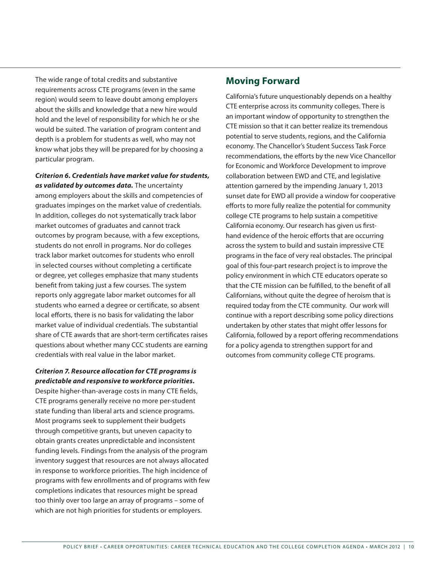The wide range of total credits and substantive requirements across CTE programs (even in the same region) would seem to leave doubt among employers about the skills and knowledge that a new hire would hold and the level of responsibility for which he or she would be suited. The variation of program content and depth is a problem for students as well, who may not know what jobs they will be prepared for by choosing a particular program.

*Criterion 6. Credentials have market value for students, as validated by outcomes data.* The uncertainty among employers about the skills and competencies of graduates impinges on the market value of credentials. In addition, colleges do not systematically track labor market outcomes of graduates and cannot track outcomes by program because, with a few exceptions, students do not enroll in programs. Nor do colleges track labor market outcomes for students who enroll in selected courses without completing a certificate or degree, yet colleges emphasize that many students benefit from taking just a few courses. The system reports only aggregate labor market outcomes for all students who earned a degree or certificate, so absent local efforts, there is no basis for validating the labor market value of individual credentials. The substantial share of CTE awards that are short-term certificates raises questions about whether many CCC students are earning credentials with real value in the labor market.

#### *Criterion 7. Resource allocation for CTE programs is predictable and responsive to workforce priorities.*

Despite higher-than-average costs in many CTE fields, CTE programs generally receive no more per-student state funding than liberal arts and science programs. Most programs seek to supplement their budgets through competitive grants, but uneven capacity to obtain grants creates unpredictable and inconsistent funding levels. Findings from the analysis of the program inventory suggest that resources are not always allocated in response to workforce priorities. The high incidence of programs with few enrollments and of programs with few completions indicates that resources might be spread too thinly over too large an array of programs – some of which are not high priorities for students or employers.

### **Moving Forward**

California's future unquestionably depends on a healthy CTE enterprise across its community colleges. There is an important window of opportunity to strengthen the CTE mission so that it can better realize its tremendous potential to serve students, regions, and the California economy. The Chancellor's Student Success Task Force recommendations, the efforts by the new Vice Chancellor for Economic and Workforce Development to improve collaboration between EWD and CTE, and legislative attention garnered by the impending January 1, 2013 sunset date for EWD all provide a window for cooperative efforts to more fully realize the potential for community college CTE programs to help sustain a competitive California economy. Our research has given us firsthand evidence of the heroic efforts that are occurring across the system to build and sustain impressive CTE programs in the face of very real obstacles. The principal goal of this four-part research project is to improve the policy environment in which CTE educators operate so that the CTE mission can be fulfilled, to the benefit of all Californians, without quite the degree of heroism that is required today from the CTE community. Our work will continue with a report describing some policy directions undertaken by other states that might offer lessons for California, followed by a report offering recommendations for a policy agenda to strengthen support for and outcomes from community college CTE programs.